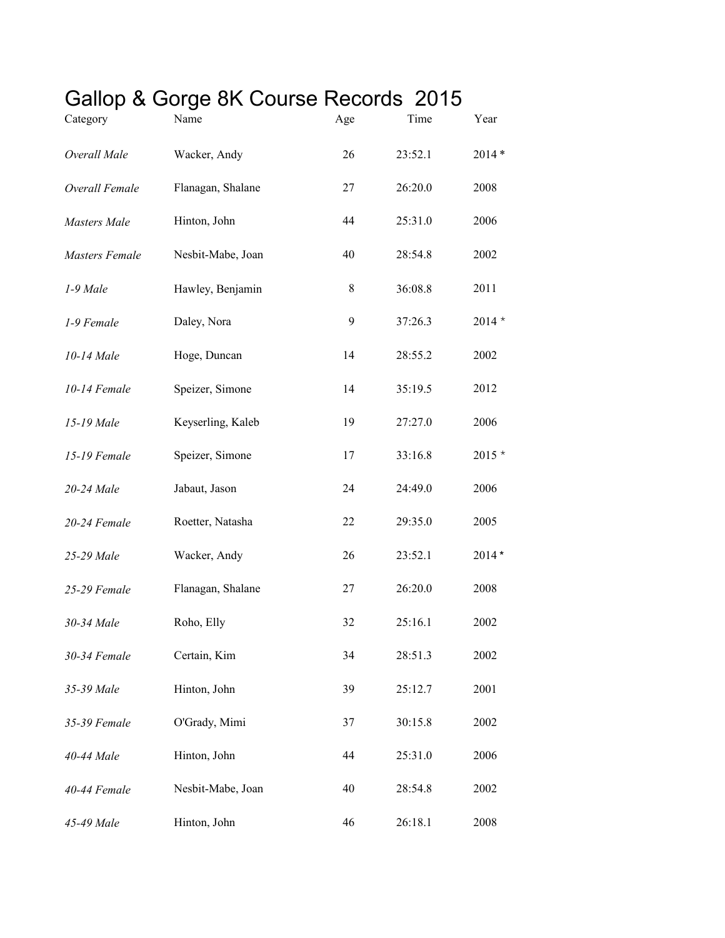## Gallop & Gorge 8K Course Records 2015

| Category              | Name              | Age | Time    | Year    |
|-----------------------|-------------------|-----|---------|---------|
| Overall Male          | Wacker, Andy      | 26  | 23:52.1 | $2014*$ |
| Overall Female        | Flanagan, Shalane | 27  | 26:20.0 | 2008    |
| <b>Masters</b> Male   | Hinton, John      | 44  | 25:31.0 | 2006    |
| <b>Masters Female</b> | Nesbit-Mabe, Joan | 40  | 28:54.8 | 2002    |
| 1-9 Male              | Hawley, Benjamin  | 8   | 36:08.8 | 2011    |
| 1-9 Female            | Daley, Nora       | 9   | 37:26.3 | $2014*$ |
| 10-14 Male            | Hoge, Duncan      | 14  | 28:55.2 | 2002    |
| 10-14 Female          | Speizer, Simone   | 14  | 35:19.5 | 2012    |
| 15-19 Male            | Keyserling, Kaleb | 19  | 27:27.0 | 2006    |
| 15-19 Female          | Speizer, Simone   | 17  | 33:16.8 | $2015*$ |
| 20-24 Male            | Jabaut, Jason     | 24  | 24:49.0 | 2006    |
| 20-24 Female          | Roetter, Natasha  | 22  | 29:35.0 | 2005    |
| 25-29 Male            | Wacker, Andy      | 26  | 23:52.1 | $2014*$ |
| 25-29 Female          | Flanagan, Shalane | 27  | 26:20.0 | 2008    |
| 30-34 Male            | Roho, Elly        | 32  | 25:16.1 | 2002    |
| 30-34 Female          | Certain, Kim      | 34  | 28:51.3 | 2002    |
| 35-39 Male            | Hinton, John      | 39  | 25:12.7 | 2001    |
| 35-39 Female          | O'Grady, Mimi     | 37  | 30:15.8 | 2002    |
| 40-44 Male            | Hinton, John      | 44  | 25:31.0 | 2006    |
| 40-44 Female          | Nesbit-Mabe, Joan | 40  | 28:54.8 | 2002    |
| 45-49 Male            | Hinton, John      | 46  | 26:18.1 | 2008    |